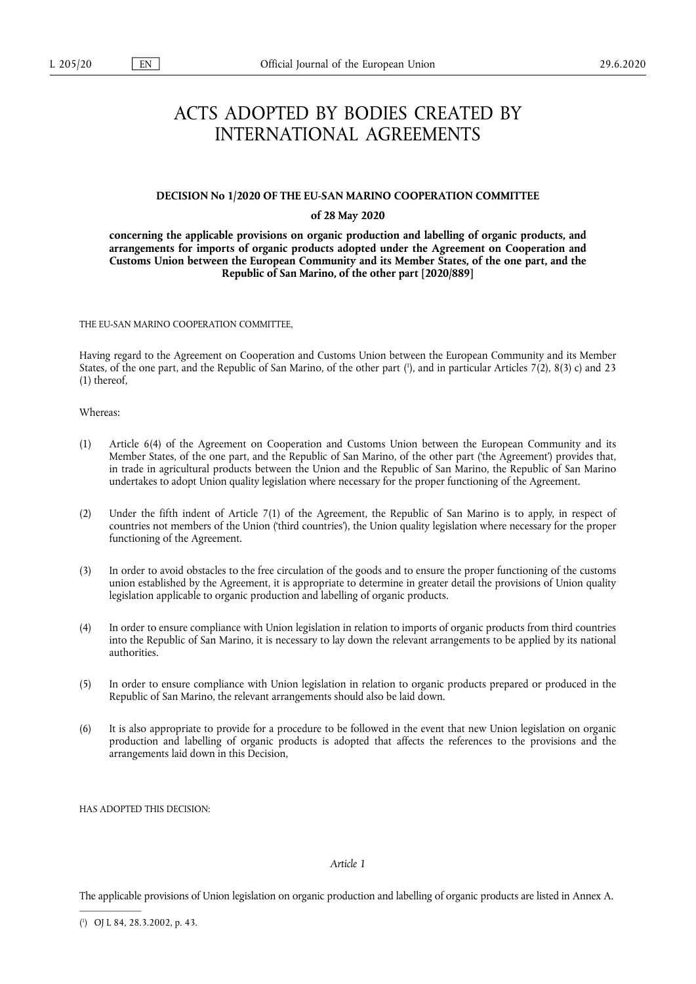# ACTS ADOPTED BY BODIES CREATED BY INTERNATIONAL AGREEMENTS

#### **DECISION No 1/2020 OF THE EU-SAN MARINO COOPERATION COMMITTEE**

## **of 28 May 2020**

**concerning the applicable provisions on organic production and labelling of organic products, and arrangements for imports of organic products adopted under the Agreement on Cooperation and Customs Union between the European Community and its Member States, of the one part, and the Republic of San Marino, of the other part [2020/889]** 

THE EU-SAN MARINO COOPERATION COMMITTEE,

<span id="page-0-1"></span>Having regard to the Agreement on Cooperation and Customs Union between the European Community and its Member States, of the one part, and the Republic of San Marino, of the other part [\(](#page-0-0) 1 ), and in particular Articles 7(2), 8(3) c) and 23 (1) thereof,

Whereas:

- (1) Article 6(4) of the Agreement on Cooperation and Customs Union between the European Community and its Member States, of the one part, and the Republic of San Marino, of the other part ('the Agreement') provides that, in trade in agricultural products between the Union and the Republic of San Marino, the Republic of San Marino undertakes to adopt Union quality legislation where necessary for the proper functioning of the Agreement.
- (2) Under the fifth indent of Article 7(1) of the Agreement, the Republic of San Marino is to apply, in respect of countries not members of the Union ('third countries'), the Union quality legislation where necessary for the proper functioning of the Agreement.
- (3) In order to avoid obstacles to the free circulation of the goods and to ensure the proper functioning of the customs union established by the Agreement, it is appropriate to determine in greater detail the provisions of Union quality legislation applicable to organic production and labelling of organic products.
- (4) In order to ensure compliance with Union legislation in relation to imports of organic products from third countries into the Republic of San Marino, it is necessary to lay down the relevant arrangements to be applied by its national authorities.
- (5) In order to ensure compliance with Union legislation in relation to organic products prepared or produced in the Republic of San Marino, the relevant arrangements should also be laid down.
- (6) It is also appropriate to provide for a procedure to be followed in the event that new Union legislation on organic production and labelling of organic products is adopted that affects the references to the provisions and the arrangements laid down in this Decision,

HAS ADOPTED THIS DECISION:

# *Article 1*

The applicable provisions of Union legislation on organic production and labelling of organic products are listed in Annex A.

<span id="page-0-0"></span>[<sup>\(</sup>](#page-0-1) 1 ) OJ L 84, 28.3.2002, p. 43.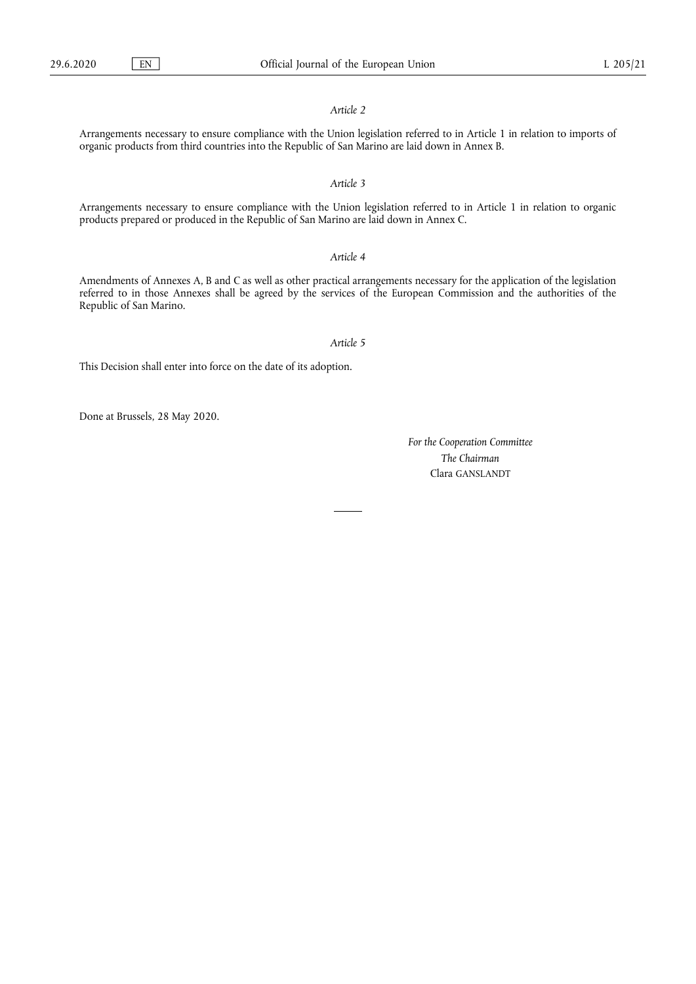## *Article 2*

Arrangements necessary to ensure compliance with the Union legislation referred to in Article 1 in relation to imports of organic products from third countries into the Republic of San Marino are laid down in Annex B.

## *Article 3*

Arrangements necessary to ensure compliance with the Union legislation referred to in Article 1 in relation to organic products prepared or produced in the Republic of San Marino are laid down in Annex C.

## *Article 4*

Amendments of Annexes A, B and C as well as other practical arrangements necessary for the application of the legislation referred to in those Annexes shall be agreed by the services of the European Commission and the authorities of the Republic of San Marino.

#### *Article 5*

This Decision shall enter into force on the date of its adoption.

Done at Brussels, 28 May 2020.

*For the Cooperation Committee The Chairman*  Clara GANSLANDT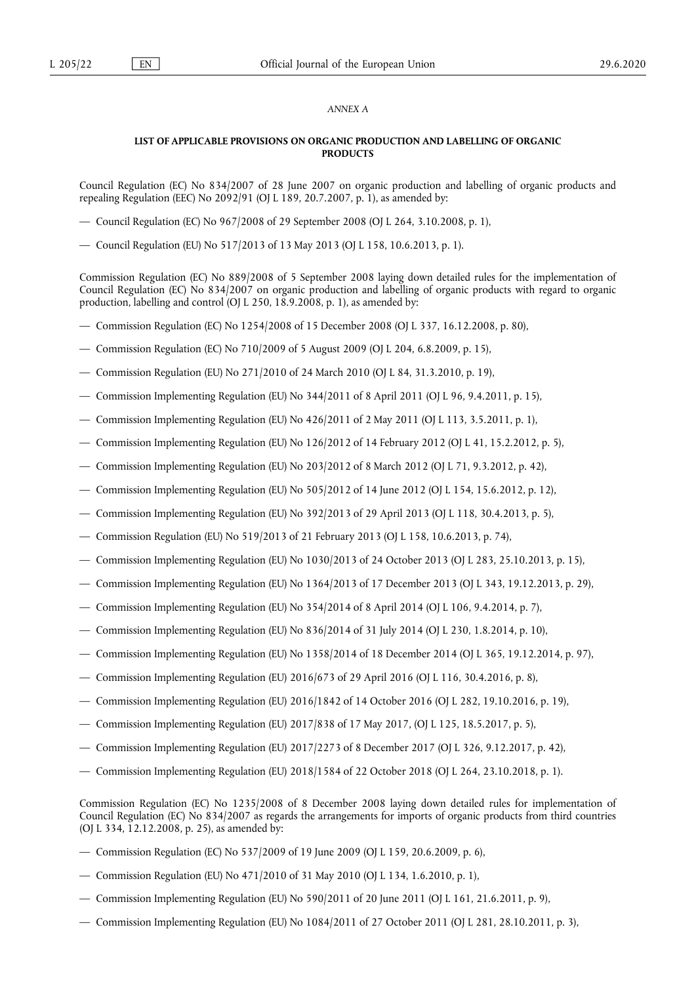## *ANNEX A*

## **LIST OF APPLICABLE PROVISIONS ON ORGANIC PRODUCTION AND LABELLING OF ORGANIC PRODUCTS**

Council Regulation (EC) No 834/2007 of 28 June 2007 on organic production and labelling of organic products and repealing Regulation (EEC) No 2092/91 (OJ L 189, 20.7.2007, p. 1), as amended by:

- Council Regulation (EC) No 967/2008 of 29 September 2008 (OJ L 264, 3.10.2008, p. 1),
- Council Regulation (EU) No 517/2013 of 13 May 2013 (OJ L 158, 10.6.2013, p. 1).

Commission Regulation (EC) No 889/2008 of 5 September 2008 laying down detailed rules for the implementation of Council Regulation (EC) No 834/2007 on organic production and labelling of organic products with regard to organic production, labelling and control (OJ L 250, 18.9.2008, p. 1), as amended by:

- Commission Regulation (EC) No 1254/2008 of 15 December 2008 (OJ L 337, 16.12.2008, p. 80),
- Commission Regulation (EC) No 710/2009 of 5 August 2009 (OJ L 204, 6.8.2009, p. 15),
- Commission Regulation (EU) No 271/2010 of 24 March 2010 (OJ L 84, 31.3.2010, p. 19),
- Commission Implementing Regulation (EU) No 344/2011 of 8 April 2011 (OJ L 96, 9.4.2011, p. 15),
- Commission Implementing Regulation (EU) No 426/2011 of 2 May 2011 (OJ L 113, 3.5.2011, p. 1),
- Commission Implementing Regulation (EU) No 126/2012 of 14 February 2012 (OJ L 41, 15.2.2012, p. 5),
- Commission Implementing Regulation (EU) No 203/2012 of 8 March 2012 (OJ L 71, 9.3.2012, p. 42),
- Commission Implementing Regulation (EU) No 505/2012 of 14 June 2012 (OJ L 154, 15.6.2012, p. 12),
- Commission Implementing Regulation (EU) No 392/2013 of 29 April 2013 (OJ L 118, 30.4.2013, p. 5),
- Commission Regulation (EU) No 519/2013 of 21 February 2013 (OJ L 158, 10.6.2013, p. 74),
- Commission Implementing Regulation (EU) No 1030/2013 of 24 October 2013 (OJ L 283, 25.10.2013, p. 15),
- Commission Implementing Regulation (EU) No 1364/2013 of 17 December 2013 (OJ L 343, 19.12.2013, p. 29),
- Commission Implementing Regulation (EU) No 354/2014 of 8 April 2014 (OJ L 106, 9.4.2014, p. 7),
- Commission Implementing Regulation (EU) No 836/2014 of 31 July 2014 (OJ L 230, 1.8.2014, p. 10),
- Commission Implementing Regulation (EU) No 1358/2014 of 18 December 2014 (OJ L 365, 19.12.2014, p. 97),
- Commission Implementing Regulation (EU) 2016/673 of 29 April 2016 (OJ L 116, 30.4.2016, p. 8),
- Commission Implementing Regulation (EU) 2016/1842 of 14 October 2016 (OJ L 282, 19.10.2016, p. 19),
- Commission Implementing Regulation (EU) 2017/838 of 17 May 2017, (OJ L 125, 18.5.2017, p. 5),
- Commission Implementing Regulation (EU) 2017/2273 of 8 December 2017 (OJ L 326, 9.12.2017, p. 42),
- Commission Implementing Regulation (EU) 2018/1584 of 22 October 2018 (OJ L 264, 23.10.2018, p. 1).

Commission Regulation (EC) No 1235/2008 of 8 December 2008 laying down detailed rules for implementation of Council Regulation (EC) No 834/2007 as regards the arrangements for imports of organic products from third countries (OJ L 334, 12.12.2008, p. 25), as amended by:

- Commission Regulation (EC) No 537/2009 of 19 June 2009 (OJ L 159, 20.6.2009, p. 6),
- Commission Regulation (EU) No 471/2010 of 31 May 2010 (OJ L 134, 1.6.2010, p. 1),
- Commission Implementing Regulation (EU) No 590/2011 of 20 June 2011 (OJ L 161, 21.6.2011, p. 9),
- Commission Implementing Regulation (EU) No 1084/2011 of 27 October 2011 (OJ L 281, 28.10.2011, p. 3),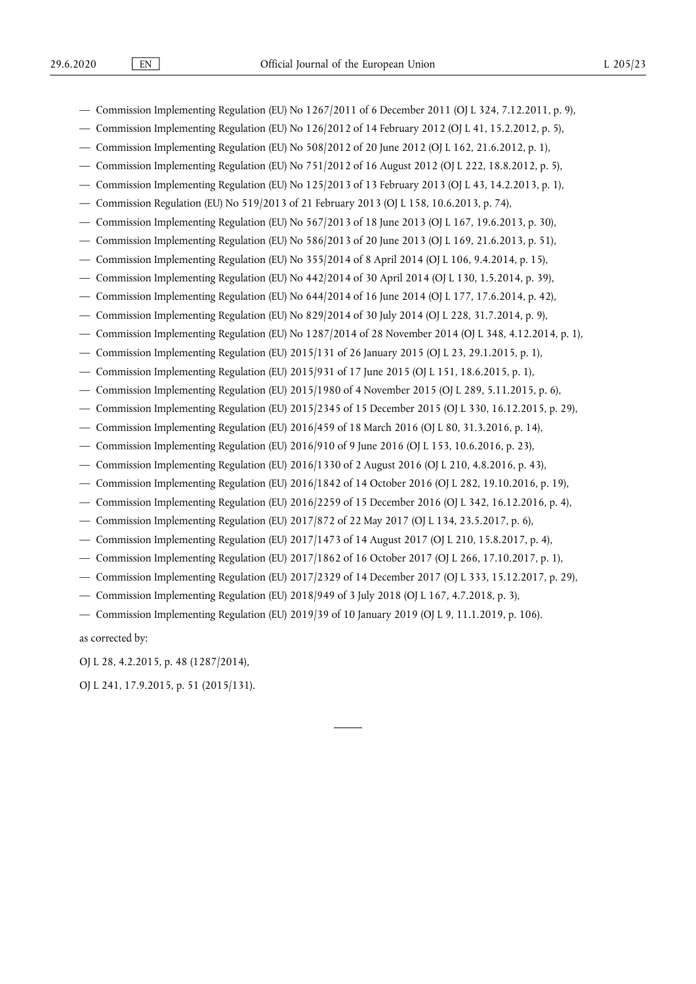- Commission Implementing Regulation (EU) No 1267/2011 of 6 December 2011 (OJ L 324, 7.12.2011, p. 9),
- Commission Implementing Regulation (EU) No  $126/2012$  of 14 February 2012 (OJ L 41, 15.2.2012, p. 5),
- Commission Implementing Regulation (EU) No 508/2012 of 20 June 2012 (OJ L 162, 21.6.2012, p. 1),
- Commission Implementing Regulation (EU) No 751/2012 of 16 August 2012 (OJ L 222, 18.8.2012, p. 5),
- Commission Implementing Regulation (EU) No 125/2013 of 13 February 2013 (OJ L 43, 14.2.2013, p. 1),
- Commission Regulation (EU) No 519/2013 of 21 February 2013 (OJ L 158, 10.6.2013, p. 74),
- Commission Implementing Regulation (EU) No 567/2013 of 18 June 2013 (OJ L 167, 19.6.2013, p. 30),
- Commission Implementing Regulation (EU) No 586/2013 of 20 June 2013 (OJ L 169, 21.6.2013, p. 51),
- Commission Implementing Regulation (EU) No 355/2014 of 8 April 2014 (OJ L 106, 9.4.2014, p. 15),
- Commission Implementing Regulation (EU) No 442/2014 of 30 April 2014 (OJ L 130, 1.5.2014, p. 39),
- Commission Implementing Regulation (EU) No 644/2014 of 16 June 2014 (OJ L 177, 17.6.2014, p. 42),
- Commission Implementing Regulation (EU) No 829/2014 of 30 July 2014 (OJ L 228, 31.7.2014, p. 9),
- Commission Implementing Regulation (EU) No 1287/2014 of 28 November 2014 (OJ L 348, 4.12.2014, p. 1),
- Commission Implementing Regulation (EU) 2015/131 of 26 January 2015 (OJ L 23, 29.1.2015, p. 1),
- Commission Implementing Regulation (EU) 2015/931 of 17 June 2015 (OJ L 151, 18.6.2015, p. 1),
- Commission Implementing Regulation (EU) 2015/1980 of 4 November 2015 (OJ L 289, 5.11.2015, p. 6),
- Commission Implementing Regulation (EU) 2015/2345 of 15 December 2015 (OJ L 330, 16.12.2015, p. 29),
- Commission Implementing Regulation (EU) 2016/459 of 18 March 2016 (OJ L 80, 31.3.2016, p. 14),
- Commission Implementing Regulation (EU) 2016/910 of 9 June 2016 (OJ L 153, 10.6.2016, p. 23),
- Commission Implementing Regulation (EU) 2016/1330 of 2 August 2016 (OJ L 210, 4.8.2016, p. 43),
- Commission Implementing Regulation (EU) 2016/1842 of 14 October 2016 (OJ L 282, 19.10.2016, p. 19),
- Commission Implementing Regulation (EU) 2016/2259 of 15 December 2016 (OJ L 342, 16.12.2016, p. 4),
- Commission Implementing Regulation (EU) 2017/872 of 22 May 2017 (OJ L 134, 23.5.2017, p. 6),
- Commission Implementing Regulation (EU) 2017/1473 of 14 August 2017 (OJ L 210, 15.8.2017, p. 4),
- Commission Implementing Regulation (EU) 2017/1862 of 16 October 2017 (OJ L 266, 17.10.2017, p. 1),
- Commission Implementing Regulation (EU) 2017/2329 of 14 December 2017 (OJ L 333, 15.12.2017, p. 29),
- Commission Implementing Regulation (EU) 2018/949 of 3 July 2018 (OJ L 167, 4.7.2018, p. 3),
- Commission Implementing Regulation (EU) 2019/39 of 10 January 2019 (OJ L 9, 11.1.2019, p. 106).

as corrected by:

OJ L 28, 4.2.2015, p. 48 (1287/2014),

OJ L 241, 17.9.2015, p. 51 (2015/131).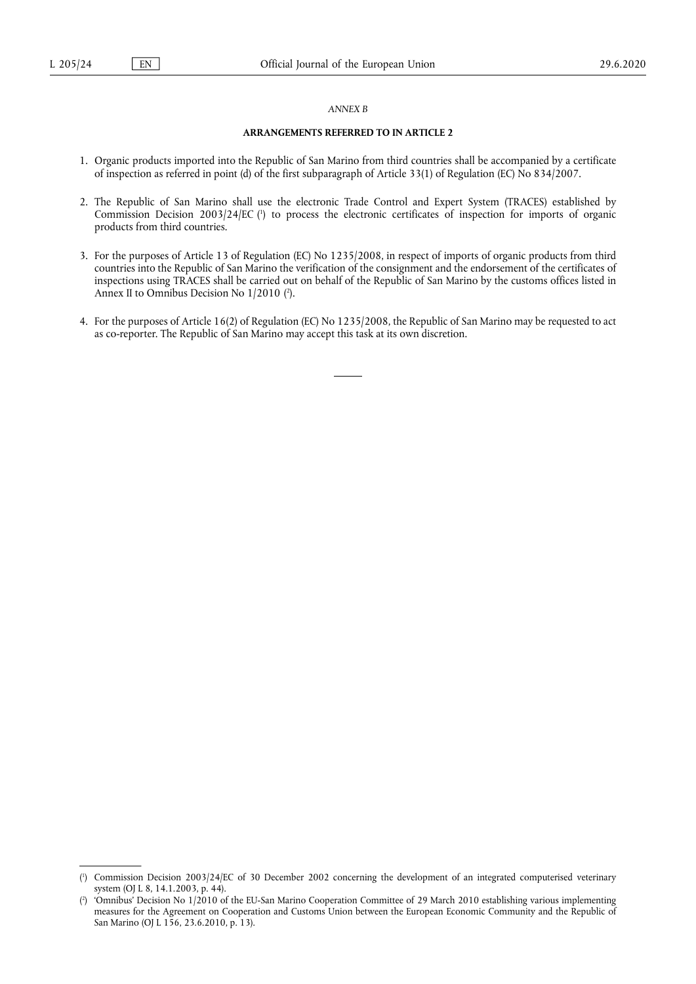#### *ANNEX B*

#### **ARRANGEMENTS REFERRED TO IN ARTICLE 2**

- 1. Organic products imported into the Republic of San Marino from third countries shall be accompanied by a certificate of inspection as referred in point (d) of the first subparagraph of Article 33(1) of Regulation (EC) No 834/2007.
- <span id="page-4-2"></span>2. The Republic of San Marino shall use the electronic Trade Control and Expert System (TRACES) established by Commission Decision 2003/24/EC ( 1 [\)](#page-4-0) to process the electronic certificates of inspection for imports of organic products from third countries.
- 3. For the purposes of Article 13 of Regulation (EC) No 1235/2008, in respect of imports of organic products from third countries into the Republic of San Marino the verification of the consignment and the endorsement of the certificates of inspections using TRACES shall be carried out on behalf of the Republic of San Marino by the customs offices listed in Annex II to Omnibus Decision No 1/2010 [\(](#page-4-1) 2 ).
- <span id="page-4-3"></span>4. For the purposes of Article 16(2) of Regulation (EC) No 1235/2008, the Republic of San Marino may be requested to act as co-reporter. The Republic of San Marino may accept this task at its own discretion.

<span id="page-4-0"></span>[<sup>\(</sup>](#page-4-2) 1 ) Commission Decision 2003/24/EC of 30 December 2002 concerning the development of an integrated computerised veterinary system (OJ L 8, 14.1.2003, p. 44).

<span id="page-4-1"></span> $(2)$  $(2)$ ) 'Omnibus' Decision No 1/2010 of the EU-San Marino Cooperation Committee of 29 March 2010 establishing various implementing measures for the Agreement on Cooperation and Customs Union between the European Economic Community and the Republic of San Marino (OJ L 156, 23.6.2010, p. 13).